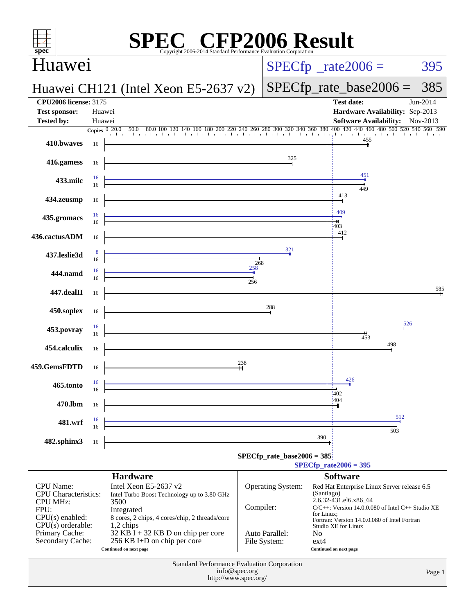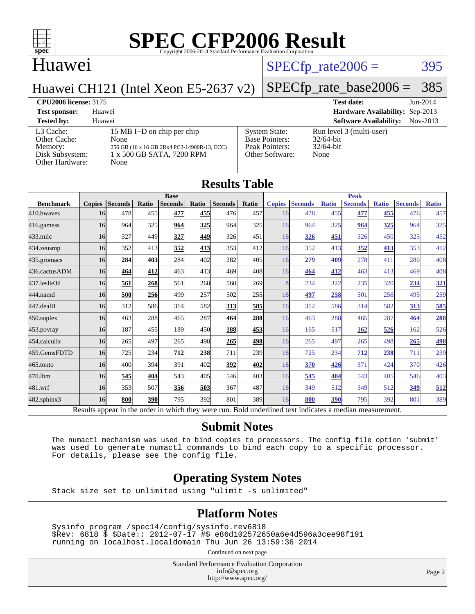

### Huawei

#### $SPECTp_rate2006 = 395$

Huawei CH121 (Intel Xeon E5-2637 v2)

# [SPECfp\\_rate\\_base2006 =](http://www.spec.org/auto/cpu2006/Docs/result-fields.html#SPECfpratebase2006) 385

**[CPU2006 license:](http://www.spec.org/auto/cpu2006/Docs/result-fields.html#CPU2006license)** 3175 **[Test date:](http://www.spec.org/auto/cpu2006/Docs/result-fields.html#Testdate)** Jun-2014 **[Test sponsor:](http://www.spec.org/auto/cpu2006/Docs/result-fields.html#Testsponsor)** Huawei **[Hardware Availability:](http://www.spec.org/auto/cpu2006/Docs/result-fields.html#HardwareAvailability)** Sep-2013 **[Tested by:](http://www.spec.org/auto/cpu2006/Docs/result-fields.html#Testedby)** Huawei **[Software Availability:](http://www.spec.org/auto/cpu2006/Docs/result-fields.html#SoftwareAvailability)** Nov-2013

| L3 Cache:       | 15 MB I+D on chip per chip                  |
|-----------------|---------------------------------------------|
| Other Cache:    | None                                        |
| Memory:         | 256 GB (16 x 16 GB 2Rx4 PC3-14900R-13, ECC) |
| Disk Subsystem: | 1 x 500 GB SATA, 7200 RPM                   |
| Other Hardware: | None                                        |
|                 |                                             |

| C) | <b>System State:</b><br><b>Base Pointers:</b><br>Peak Pointers:<br>Other Software: | Run leve<br>$32/64$ -bit<br>$32/64$ -bit<br>None |
|----|------------------------------------------------------------------------------------|--------------------------------------------------|
|    |                                                                                    |                                                  |

# el 3 (multi-user)

|                  | <b>Results Table</b><br><b>Base</b> |                |       |                |       | <b>Peak</b>    |            |               |                |              |                |              |                |              |
|------------------|-------------------------------------|----------------|-------|----------------|-------|----------------|------------|---------------|----------------|--------------|----------------|--------------|----------------|--------------|
| <b>Benchmark</b> | <b>Copies</b>                       | <b>Seconds</b> | Ratio | <b>Seconds</b> | Ratio | <b>Seconds</b> | Ratio      | <b>Copies</b> | <b>Seconds</b> | <b>Ratio</b> | <b>Seconds</b> | <b>Ratio</b> | <b>Seconds</b> | <b>Ratio</b> |
| 410.bwayes       | 16                                  | 478            | 455   | 477            | 455   | 476            | 457        | 16            | 478            | 455          | 477            | 455          | 476            | 457          |
| 416.gamess       | 16                                  | 964            | 325   | 964            | 325   | 964            | 325        | 16            | 964            | 325          | 964            | 325          | 964            | 325          |
| $433$ .milc      | 16                                  | 327            | 449   | 327            | 449   | 326            | 451        | 16            | 326            | 451          | 326            | 450          | 325            | 452          |
| 434.zeusmp       | 16                                  | 352            | 413   | 352            | 413   | 353            | 412        | 16            | 352            | 413          | 352            | 413          | 353            | 412          |
| 435.gromacs      | 16                                  | 284            | 403   | 284            | 402   | 282            | 405        | 16            | 279            | 409          | 278            | 411          | 280            | 408          |
| 436.cactusADM    | 16                                  | 464            | 412   | 463            | 413   | 469            | 408        | 16            | 464            | 412          | 463            | 413          | 469            | 408          |
| 437.leslie3d     | 16                                  | 561            | 268   | 561            | 268   | 560            | 269        | 8             | 234            | 322          | 235            | 320          | 234            | 321          |
| 444.namd         | 16                                  | 500            | 256   | 499            | 257   | 502            | 255        | 16            | 497            | 258          | 501            | 256          | 495            | 259          |
| 447.dealII       | 16                                  | 312            | 586   | 314            | 582   | 313            | <u>585</u> | 16            | 312            | 586          | 314            | 582          | 313            | 585          |
| 450.soplex       | 16                                  | 463            | 288   | 465            | 287   | 464            | <u>288</u> | 16            | 463            | 288          | 465            | 287          | 464            | 288          |
| 453.povray       | 16                                  | 187            | 455   | 189            | 450l  | 188            | 453        | 16            | 165            | 517          | 162            | 526          | 162            | 526          |
| 454.calculix     | 16                                  | 265            | 497   | 265            | 498   | 265            | <u>498</u> | 16            | 265            | 497          | 265            | 498          | 265            | <b>498</b>   |
| 459.GemsFDTD     | 16                                  | 725            | 234   | 712            | 238   | 711            | 239        | 16            | 725            | 234          | 712            | 238          | 711            | 239          |
| 465.tonto        | 16                                  | 400            | 394   | 391            | 402   | 392            | 402        | 16            | 370            | 426          | 371            | 424          | 370            | 426          |
| 470.1bm          | 16                                  | 545            | 404   | 543            | 405   | 546            | 403        | 16            | 545            | 404          | 543            | 405          | 546            | 403          |
| 481.wrf          | 16                                  | 353            | 507   | 356            | 503   | 367            | 487        | 16            | 349            | 512          | 349            | 512          | 349            | 512          |
| 482.sphinx3      | 16                                  | 800            | 390   | 795            | 392   | 801            | 389        | 16            | 800            | 390          | 795            | 392          | 801            | 389          |

#### **[Submit Notes](http://www.spec.org/auto/cpu2006/Docs/result-fields.html#SubmitNotes)**

 The numactl mechanism was used to bind copies to processors. The config file option 'submit' was used to generate numactl commands to bind each copy to a specific processor. For details, please see the config file.

#### **[Operating System Notes](http://www.spec.org/auto/cpu2006/Docs/result-fields.html#OperatingSystemNotes)**

Stack size set to unlimited using "ulimit -s unlimited"

#### **[Platform Notes](http://www.spec.org/auto/cpu2006/Docs/result-fields.html#PlatformNotes)**

 Sysinfo program /spec14/config/sysinfo.rev6818 \$Rev: 6818 \$ \$Date:: 2012-07-17 #\$ e86d102572650a6e4d596a3cee98f191 running on localhost.localdomain Thu Jun 26 13:59:36 2014

Continued on next page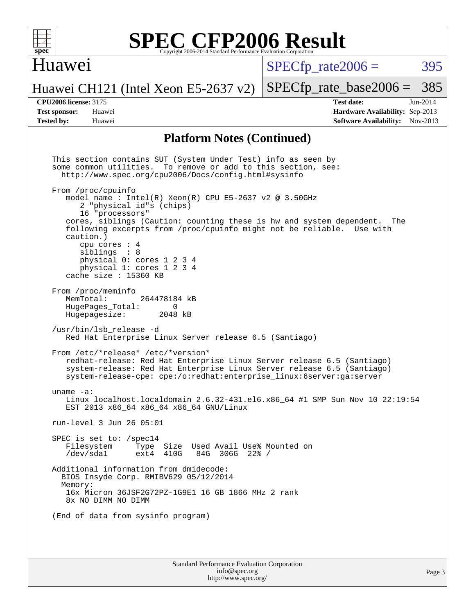

### Huawei

 $SPECTp\_rate2006 = 395$ 

[SPECfp\\_rate\\_base2006 =](http://www.spec.org/auto/cpu2006/Docs/result-fields.html#SPECfpratebase2006) 385

#### Huawei CH121 (Intel Xeon E5-2637 v2)

**[CPU2006 license:](http://www.spec.org/auto/cpu2006/Docs/result-fields.html#CPU2006license)** 3175 **[Test date:](http://www.spec.org/auto/cpu2006/Docs/result-fields.html#Testdate)** Jun-2014 **[Test sponsor:](http://www.spec.org/auto/cpu2006/Docs/result-fields.html#Testsponsor)** Huawei **[Hardware Availability:](http://www.spec.org/auto/cpu2006/Docs/result-fields.html#HardwareAvailability)** Sep-2013 **[Tested by:](http://www.spec.org/auto/cpu2006/Docs/result-fields.html#Testedby)** Huawei **[Software Availability:](http://www.spec.org/auto/cpu2006/Docs/result-fields.html#SoftwareAvailability)** Nov-2013

#### **[Platform Notes \(Continued\)](http://www.spec.org/auto/cpu2006/Docs/result-fields.html#PlatformNotes)**

Standard Performance Evaluation Corporation This section contains SUT (System Under Test) info as seen by some common utilities. To remove or add to this section, see: <http://www.spec.org/cpu2006/Docs/config.html#sysinfo> From /proc/cpuinfo model name : Intel $(R)$  Xeon $(R)$  CPU E5-2637 v2 @ 3.50GHz 2 "physical id"s (chips) 16 "processors" cores, siblings (Caution: counting these is hw and system dependent. The following excerpts from /proc/cpuinfo might not be reliable. Use with caution.) cpu cores : 4 siblings : 8 physical 0: cores 1 2 3 4 physical 1: cores 1 2 3 4 cache size : 15360 KB From /proc/meminfo<br>MemTotal: 264478184 kB HugePages\_Total: 0<br>Hugepagesize: 2048 kB Hugepagesize: /usr/bin/lsb\_release -d Red Hat Enterprise Linux Server release 6.5 (Santiago) From /etc/\*release\* /etc/\*version\* redhat-release: Red Hat Enterprise Linux Server release 6.5 (Santiago) system-release: Red Hat Enterprise Linux Server release 6.5 (Santiago) system-release-cpe: cpe:/o:redhat:enterprise\_linux:6server:ga:server uname -a: Linux localhost.localdomain 2.6.32-431.el6.x86\_64 #1 SMP Sun Nov 10 22:19:54 EST 2013 x86\_64 x86\_64 x86\_64 GNU/Linux run-level 3 Jun 26 05:01 SPEC is set to: /spec14<br>Filesystem Type Type Size Used Avail Use% Mounted on /dev/sda1 ext4 410G 84G 306G 22% / Additional information from dmidecode: BIOS Insyde Corp. RMIBV629 05/12/2014 Memory: 16x Micron 36JSF2G72PZ-1G9E1 16 GB 1866 MHz 2 rank 8x NO DIMM NO DIMM (End of data from sysinfo program)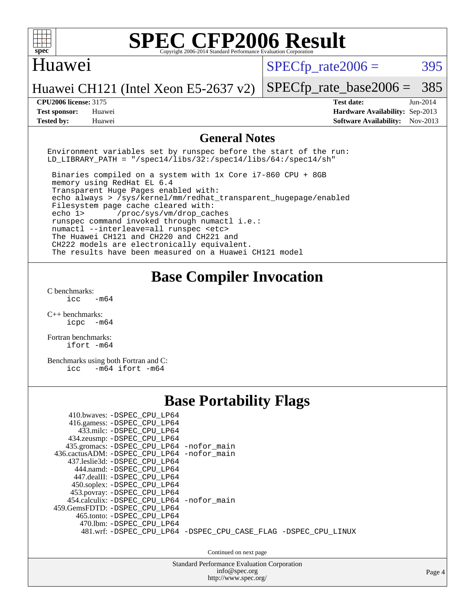

#### Huawei

 $SPECTp\_rate2006 = 395$ 

[SPECfp\\_rate\\_base2006 =](http://www.spec.org/auto/cpu2006/Docs/result-fields.html#SPECfpratebase2006) 385

Huawei CH121 (Intel Xeon E5-2637 v2)

**[Tested by:](http://www.spec.org/auto/cpu2006/Docs/result-fields.html#Testedby)** Huawei **[Software Availability:](http://www.spec.org/auto/cpu2006/Docs/result-fields.html#SoftwareAvailability)** Nov-2013

**[CPU2006 license:](http://www.spec.org/auto/cpu2006/Docs/result-fields.html#CPU2006license)** 3175 **[Test date:](http://www.spec.org/auto/cpu2006/Docs/result-fields.html#Testdate)** Jun-2014 **[Test sponsor:](http://www.spec.org/auto/cpu2006/Docs/result-fields.html#Testsponsor)** Huawei **[Hardware Availability:](http://www.spec.org/auto/cpu2006/Docs/result-fields.html#HardwareAvailability)** Sep-2013

#### **[General Notes](http://www.spec.org/auto/cpu2006/Docs/result-fields.html#GeneralNotes)**

Environment variables set by runspec before the start of the run: LD LIBRARY PATH = "/spec14/libs/32:/spec14/libs/64:/spec14/sh"

 Binaries compiled on a system with 1x Core i7-860 CPU + 8GB memory using RedHat EL 6.4 Transparent Huge Pages enabled with: echo always > /sys/kernel/mm/redhat\_transparent\_hugepage/enabled Filesystem page cache cleared with: echo 1> /proc/sys/vm/drop\_caches runspec command invoked through numactl i.e.: numactl --interleave=all runspec <etc> The Huawei CH121 and CH220 and CH221 and CH222 models are electronically equivalent. The results have been measured on a Huawei CH121 model

## **[Base Compiler Invocation](http://www.spec.org/auto/cpu2006/Docs/result-fields.html#BaseCompilerInvocation)**

[C benchmarks](http://www.spec.org/auto/cpu2006/Docs/result-fields.html#Cbenchmarks):  $-m64$ 

[C++ benchmarks:](http://www.spec.org/auto/cpu2006/Docs/result-fields.html#CXXbenchmarks) [icpc -m64](http://www.spec.org/cpu2006/results/res2014q3/cpu2006-20140628-30070.flags.html#user_CXXbase_intel_icpc_64bit_bedb90c1146cab66620883ef4f41a67e)

[Fortran benchmarks](http://www.spec.org/auto/cpu2006/Docs/result-fields.html#Fortranbenchmarks): [ifort -m64](http://www.spec.org/cpu2006/results/res2014q3/cpu2006-20140628-30070.flags.html#user_FCbase_intel_ifort_64bit_ee9d0fb25645d0210d97eb0527dcc06e)

[Benchmarks using both Fortran and C](http://www.spec.org/auto/cpu2006/Docs/result-fields.html#BenchmarksusingbothFortranandC): [icc -m64](http://www.spec.org/cpu2006/results/res2014q3/cpu2006-20140628-30070.flags.html#user_CC_FCbase_intel_icc_64bit_0b7121f5ab7cfabee23d88897260401c) [ifort -m64](http://www.spec.org/cpu2006/results/res2014q3/cpu2006-20140628-30070.flags.html#user_CC_FCbase_intel_ifort_64bit_ee9d0fb25645d0210d97eb0527dcc06e)

## **[Base Portability Flags](http://www.spec.org/auto/cpu2006/Docs/result-fields.html#BasePortabilityFlags)**

| 410.bwaves: -DSPEC CPU LP64<br>416.gamess: -DSPEC_CPU_LP64<br>433.milc: -DSPEC CPU LP64<br>434.zeusmp: - DSPEC_CPU_LP64<br>435.gromacs: -DSPEC_CPU_LP64 -nofor_main<br>436.cactusADM: - DSPEC CPU LP64 - nofor main<br>437.leslie3d: -DSPEC CPU LP64<br>444.namd: -DSPEC CPU LP64<br>447.dealII: -DSPEC CPU LP64<br>450.soplex: -DSPEC_CPU_LP64<br>453.povray: -DSPEC_CPU_LP64 |                                                                |
|--------------------------------------------------------------------------------------------------------------------------------------------------------------------------------------------------------------------------------------------------------------------------------------------------------------------------------------------------------------------------------|----------------------------------------------------------------|
| 454.calculix: - DSPEC CPU LP64 - nofor main<br>459.GemsFDTD: -DSPEC CPU LP64<br>465.tonto: -DSPEC CPU LP64                                                                                                                                                                                                                                                                     |                                                                |
| 470.1bm: - DSPEC CPU LP64                                                                                                                                                                                                                                                                                                                                                      | 481.wrf: -DSPEC CPU_LP64 -DSPEC_CPU_CASE_FLAG -DSPEC_CPU_LINUX |
|                                                                                                                                                                                                                                                                                                                                                                                | Continued on next page                                         |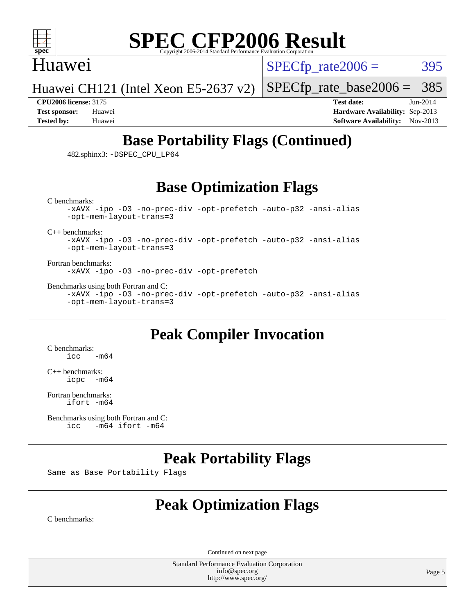

### Huawei

 $SPECTp\_rate2006 = 395$ 

Huawei CH121 (Intel Xeon E5-2637 v2)

[SPECfp\\_rate\\_base2006 =](http://www.spec.org/auto/cpu2006/Docs/result-fields.html#SPECfpratebase2006) 385 **[CPU2006 license:](http://www.spec.org/auto/cpu2006/Docs/result-fields.html#CPU2006license)** 3175 **[Test date:](http://www.spec.org/auto/cpu2006/Docs/result-fields.html#Testdate)** Jun-2014

**[Test sponsor:](http://www.spec.org/auto/cpu2006/Docs/result-fields.html#Testsponsor)** Huawei **[Hardware Availability:](http://www.spec.org/auto/cpu2006/Docs/result-fields.html#HardwareAvailability)** Sep-2013 **[Tested by:](http://www.spec.org/auto/cpu2006/Docs/result-fields.html#Testedby)** Huawei **[Software Availability:](http://www.spec.org/auto/cpu2006/Docs/result-fields.html#SoftwareAvailability)** Nov-2013

# **[Base Portability Flags \(Continued\)](http://www.spec.org/auto/cpu2006/Docs/result-fields.html#BasePortabilityFlags)**

482.sphinx3: [-DSPEC\\_CPU\\_LP64](http://www.spec.org/cpu2006/results/res2014q3/cpu2006-20140628-30070.flags.html#suite_basePORTABILITY482_sphinx3_DSPEC_CPU_LP64)

## **[Base Optimization Flags](http://www.spec.org/auto/cpu2006/Docs/result-fields.html#BaseOptimizationFlags)**

[C benchmarks](http://www.spec.org/auto/cpu2006/Docs/result-fields.html#Cbenchmarks):

[-xAVX](http://www.spec.org/cpu2006/results/res2014q3/cpu2006-20140628-30070.flags.html#user_CCbase_f-xAVX) [-ipo](http://www.spec.org/cpu2006/results/res2014q3/cpu2006-20140628-30070.flags.html#user_CCbase_f-ipo) [-O3](http://www.spec.org/cpu2006/results/res2014q3/cpu2006-20140628-30070.flags.html#user_CCbase_f-O3) [-no-prec-div](http://www.spec.org/cpu2006/results/res2014q3/cpu2006-20140628-30070.flags.html#user_CCbase_f-no-prec-div) [-opt-prefetch](http://www.spec.org/cpu2006/results/res2014q3/cpu2006-20140628-30070.flags.html#user_CCbase_f-opt-prefetch) [-auto-p32](http://www.spec.org/cpu2006/results/res2014q3/cpu2006-20140628-30070.flags.html#user_CCbase_f-auto-p32) [-ansi-alias](http://www.spec.org/cpu2006/results/res2014q3/cpu2006-20140628-30070.flags.html#user_CCbase_f-ansi-alias) [-opt-mem-layout-trans=3](http://www.spec.org/cpu2006/results/res2014q3/cpu2006-20140628-30070.flags.html#user_CCbase_f-opt-mem-layout-trans_a7b82ad4bd7abf52556d4961a2ae94d5)

[C++ benchmarks:](http://www.spec.org/auto/cpu2006/Docs/result-fields.html#CXXbenchmarks)

[-xAVX](http://www.spec.org/cpu2006/results/res2014q3/cpu2006-20140628-30070.flags.html#user_CXXbase_f-xAVX) [-ipo](http://www.spec.org/cpu2006/results/res2014q3/cpu2006-20140628-30070.flags.html#user_CXXbase_f-ipo) [-O3](http://www.spec.org/cpu2006/results/res2014q3/cpu2006-20140628-30070.flags.html#user_CXXbase_f-O3) [-no-prec-div](http://www.spec.org/cpu2006/results/res2014q3/cpu2006-20140628-30070.flags.html#user_CXXbase_f-no-prec-div) [-opt-prefetch](http://www.spec.org/cpu2006/results/res2014q3/cpu2006-20140628-30070.flags.html#user_CXXbase_f-opt-prefetch) [-auto-p32](http://www.spec.org/cpu2006/results/res2014q3/cpu2006-20140628-30070.flags.html#user_CXXbase_f-auto-p32) [-ansi-alias](http://www.spec.org/cpu2006/results/res2014q3/cpu2006-20140628-30070.flags.html#user_CXXbase_f-ansi-alias) [-opt-mem-layout-trans=3](http://www.spec.org/cpu2006/results/res2014q3/cpu2006-20140628-30070.flags.html#user_CXXbase_f-opt-mem-layout-trans_a7b82ad4bd7abf52556d4961a2ae94d5)

[Fortran benchmarks](http://www.spec.org/auto/cpu2006/Docs/result-fields.html#Fortranbenchmarks): [-xAVX](http://www.spec.org/cpu2006/results/res2014q3/cpu2006-20140628-30070.flags.html#user_FCbase_f-xAVX) [-ipo](http://www.spec.org/cpu2006/results/res2014q3/cpu2006-20140628-30070.flags.html#user_FCbase_f-ipo) [-O3](http://www.spec.org/cpu2006/results/res2014q3/cpu2006-20140628-30070.flags.html#user_FCbase_f-O3) [-no-prec-div](http://www.spec.org/cpu2006/results/res2014q3/cpu2006-20140628-30070.flags.html#user_FCbase_f-no-prec-div) [-opt-prefetch](http://www.spec.org/cpu2006/results/res2014q3/cpu2006-20140628-30070.flags.html#user_FCbase_f-opt-prefetch)

[Benchmarks using both Fortran and C](http://www.spec.org/auto/cpu2006/Docs/result-fields.html#BenchmarksusingbothFortranandC):

[-xAVX](http://www.spec.org/cpu2006/results/res2014q3/cpu2006-20140628-30070.flags.html#user_CC_FCbase_f-xAVX) [-ipo](http://www.spec.org/cpu2006/results/res2014q3/cpu2006-20140628-30070.flags.html#user_CC_FCbase_f-ipo) [-O3](http://www.spec.org/cpu2006/results/res2014q3/cpu2006-20140628-30070.flags.html#user_CC_FCbase_f-O3) [-no-prec-div](http://www.spec.org/cpu2006/results/res2014q3/cpu2006-20140628-30070.flags.html#user_CC_FCbase_f-no-prec-div) [-opt-prefetch](http://www.spec.org/cpu2006/results/res2014q3/cpu2006-20140628-30070.flags.html#user_CC_FCbase_f-opt-prefetch) [-auto-p32](http://www.spec.org/cpu2006/results/res2014q3/cpu2006-20140628-30070.flags.html#user_CC_FCbase_f-auto-p32) [-ansi-alias](http://www.spec.org/cpu2006/results/res2014q3/cpu2006-20140628-30070.flags.html#user_CC_FCbase_f-ansi-alias) [-opt-mem-layout-trans=3](http://www.spec.org/cpu2006/results/res2014q3/cpu2006-20140628-30070.flags.html#user_CC_FCbase_f-opt-mem-layout-trans_a7b82ad4bd7abf52556d4961a2ae94d5)

## **[Peak Compiler Invocation](http://www.spec.org/auto/cpu2006/Docs/result-fields.html#PeakCompilerInvocation)**

[C benchmarks](http://www.spec.org/auto/cpu2006/Docs/result-fields.html#Cbenchmarks):  $\text{icc}$   $-\text{m64}$ 

[C++ benchmarks:](http://www.spec.org/auto/cpu2006/Docs/result-fields.html#CXXbenchmarks) [icpc -m64](http://www.spec.org/cpu2006/results/res2014q3/cpu2006-20140628-30070.flags.html#user_CXXpeak_intel_icpc_64bit_bedb90c1146cab66620883ef4f41a67e)

[Fortran benchmarks](http://www.spec.org/auto/cpu2006/Docs/result-fields.html#Fortranbenchmarks): [ifort -m64](http://www.spec.org/cpu2006/results/res2014q3/cpu2006-20140628-30070.flags.html#user_FCpeak_intel_ifort_64bit_ee9d0fb25645d0210d97eb0527dcc06e)

[Benchmarks using both Fortran and C](http://www.spec.org/auto/cpu2006/Docs/result-fields.html#BenchmarksusingbothFortranandC):<br>icc -m64 ifort -m64  $-m64$  ifort  $-m64$ 

## **[Peak Portability Flags](http://www.spec.org/auto/cpu2006/Docs/result-fields.html#PeakPortabilityFlags)**

Same as Base Portability Flags

# **[Peak Optimization Flags](http://www.spec.org/auto/cpu2006/Docs/result-fields.html#PeakOptimizationFlags)**

[C benchmarks](http://www.spec.org/auto/cpu2006/Docs/result-fields.html#Cbenchmarks):

Continued on next page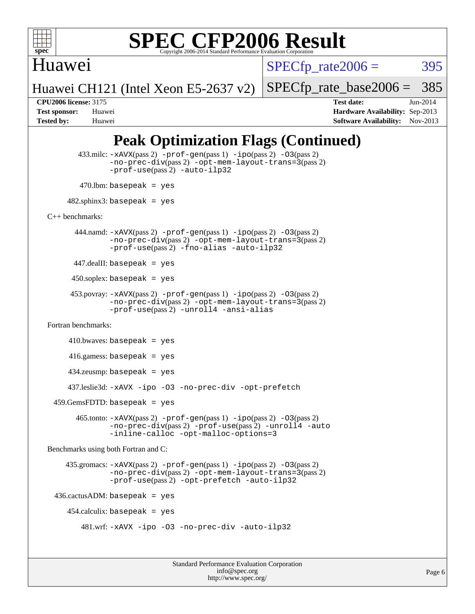

## Huawei

 $SPECTp\_rate2006 = 395$ 

Huawei CH121 (Intel Xeon E5-2637 v2)

[SPECfp\\_rate\\_base2006 =](http://www.spec.org/auto/cpu2006/Docs/result-fields.html#SPECfpratebase2006) 385

**[CPU2006 license:](http://www.spec.org/auto/cpu2006/Docs/result-fields.html#CPU2006license)** 3175 **[Test date:](http://www.spec.org/auto/cpu2006/Docs/result-fields.html#Testdate)** Jun-2014 **[Test sponsor:](http://www.spec.org/auto/cpu2006/Docs/result-fields.html#Testsponsor)** Huawei **[Hardware Availability:](http://www.spec.org/auto/cpu2006/Docs/result-fields.html#HardwareAvailability)** Sep-2013 **[Tested by:](http://www.spec.org/auto/cpu2006/Docs/result-fields.html#Testedby)** Huawei **[Software Availability:](http://www.spec.org/auto/cpu2006/Docs/result-fields.html#SoftwareAvailability)** Nov-2013

# **[Peak Optimization Flags \(Continued\)](http://www.spec.org/auto/cpu2006/Docs/result-fields.html#PeakOptimizationFlags)**

 433.milc: [-xAVX](http://www.spec.org/cpu2006/results/res2014q3/cpu2006-20140628-30070.flags.html#user_peakPASS2_CFLAGSPASS2_LDFLAGS433_milc_f-xAVX)(pass 2) [-prof-gen](http://www.spec.org/cpu2006/results/res2014q3/cpu2006-20140628-30070.flags.html#user_peakPASS1_CFLAGSPASS1_LDFLAGS433_milc_prof_gen_e43856698f6ca7b7e442dfd80e94a8fc)(pass 1) [-ipo](http://www.spec.org/cpu2006/results/res2014q3/cpu2006-20140628-30070.flags.html#user_peakPASS2_CFLAGSPASS2_LDFLAGS433_milc_f-ipo)(pass 2) [-O3](http://www.spec.org/cpu2006/results/res2014q3/cpu2006-20140628-30070.flags.html#user_peakPASS2_CFLAGSPASS2_LDFLAGS433_milc_f-O3)(pass 2) [-no-prec-div](http://www.spec.org/cpu2006/results/res2014q3/cpu2006-20140628-30070.flags.html#user_peakPASS2_CFLAGSPASS2_LDFLAGS433_milc_f-no-prec-div)(pass 2) [-opt-mem-layout-trans=3](http://www.spec.org/cpu2006/results/res2014q3/cpu2006-20140628-30070.flags.html#user_peakPASS2_CFLAGS433_milc_f-opt-mem-layout-trans_a7b82ad4bd7abf52556d4961a2ae94d5)(pass 2) [-prof-use](http://www.spec.org/cpu2006/results/res2014q3/cpu2006-20140628-30070.flags.html#user_peakPASS2_CFLAGSPASS2_LDFLAGS433_milc_prof_use_bccf7792157ff70d64e32fe3e1250b55)(pass 2) [-auto-ilp32](http://www.spec.org/cpu2006/results/res2014q3/cpu2006-20140628-30070.flags.html#user_peakCOPTIMIZE433_milc_f-auto-ilp32)  $470.$ lbm: basepeak = yes  $482$ .sphinx3: basepeak = yes [C++ benchmarks:](http://www.spec.org/auto/cpu2006/Docs/result-fields.html#CXXbenchmarks) 444.namd: [-xAVX](http://www.spec.org/cpu2006/results/res2014q3/cpu2006-20140628-30070.flags.html#user_peakPASS2_CXXFLAGSPASS2_LDFLAGS444_namd_f-xAVX)(pass 2) [-prof-gen](http://www.spec.org/cpu2006/results/res2014q3/cpu2006-20140628-30070.flags.html#user_peakPASS1_CXXFLAGSPASS1_LDFLAGS444_namd_prof_gen_e43856698f6ca7b7e442dfd80e94a8fc)(pass 1) [-ipo](http://www.spec.org/cpu2006/results/res2014q3/cpu2006-20140628-30070.flags.html#user_peakPASS2_CXXFLAGSPASS2_LDFLAGS444_namd_f-ipo)(pass 2) [-O3](http://www.spec.org/cpu2006/results/res2014q3/cpu2006-20140628-30070.flags.html#user_peakPASS2_CXXFLAGSPASS2_LDFLAGS444_namd_f-O3)(pass 2) [-no-prec-div](http://www.spec.org/cpu2006/results/res2014q3/cpu2006-20140628-30070.flags.html#user_peakPASS2_CXXFLAGSPASS2_LDFLAGS444_namd_f-no-prec-div)(pass 2) [-opt-mem-layout-trans=3](http://www.spec.org/cpu2006/results/res2014q3/cpu2006-20140628-30070.flags.html#user_peakPASS2_CXXFLAGS444_namd_f-opt-mem-layout-trans_a7b82ad4bd7abf52556d4961a2ae94d5)(pass 2) [-prof-use](http://www.spec.org/cpu2006/results/res2014q3/cpu2006-20140628-30070.flags.html#user_peakPASS2_CXXFLAGSPASS2_LDFLAGS444_namd_prof_use_bccf7792157ff70d64e32fe3e1250b55)(pass 2) [-fno-alias](http://www.spec.org/cpu2006/results/res2014q3/cpu2006-20140628-30070.flags.html#user_peakCXXOPTIMIZE444_namd_f-no-alias_694e77f6c5a51e658e82ccff53a9e63a) [-auto-ilp32](http://www.spec.org/cpu2006/results/res2014q3/cpu2006-20140628-30070.flags.html#user_peakCXXOPTIMIZE444_namd_f-auto-ilp32) 447.dealII: basepeak = yes  $450$ .soplex: basepeak = yes 453.povray: [-xAVX](http://www.spec.org/cpu2006/results/res2014q3/cpu2006-20140628-30070.flags.html#user_peakPASS2_CXXFLAGSPASS2_LDFLAGS453_povray_f-xAVX)(pass 2) [-prof-gen](http://www.spec.org/cpu2006/results/res2014q3/cpu2006-20140628-30070.flags.html#user_peakPASS1_CXXFLAGSPASS1_LDFLAGS453_povray_prof_gen_e43856698f6ca7b7e442dfd80e94a8fc)(pass 1) [-ipo](http://www.spec.org/cpu2006/results/res2014q3/cpu2006-20140628-30070.flags.html#user_peakPASS2_CXXFLAGSPASS2_LDFLAGS453_povray_f-ipo)(pass 2) [-O3](http://www.spec.org/cpu2006/results/res2014q3/cpu2006-20140628-30070.flags.html#user_peakPASS2_CXXFLAGSPASS2_LDFLAGS453_povray_f-O3)(pass 2) [-no-prec-div](http://www.spec.org/cpu2006/results/res2014q3/cpu2006-20140628-30070.flags.html#user_peakPASS2_CXXFLAGSPASS2_LDFLAGS453_povray_f-no-prec-div)(pass 2) [-opt-mem-layout-trans=3](http://www.spec.org/cpu2006/results/res2014q3/cpu2006-20140628-30070.flags.html#user_peakPASS2_CXXFLAGS453_povray_f-opt-mem-layout-trans_a7b82ad4bd7abf52556d4961a2ae94d5)(pass 2) [-prof-use](http://www.spec.org/cpu2006/results/res2014q3/cpu2006-20140628-30070.flags.html#user_peakPASS2_CXXFLAGSPASS2_LDFLAGS453_povray_prof_use_bccf7792157ff70d64e32fe3e1250b55)(pass 2) [-unroll4](http://www.spec.org/cpu2006/results/res2014q3/cpu2006-20140628-30070.flags.html#user_peakCXXOPTIMIZE453_povray_f-unroll_4e5e4ed65b7fd20bdcd365bec371b81f) [-ansi-alias](http://www.spec.org/cpu2006/results/res2014q3/cpu2006-20140628-30070.flags.html#user_peakCXXOPTIMIZE453_povray_f-ansi-alias) [Fortran benchmarks](http://www.spec.org/auto/cpu2006/Docs/result-fields.html#Fortranbenchmarks):  $410.bwaves: basepeak = yes$  416.gamess: basepeak = yes 434.zeusmp: basepeak = yes 437.leslie3d: [-xAVX](http://www.spec.org/cpu2006/results/res2014q3/cpu2006-20140628-30070.flags.html#user_peakOPTIMIZE437_leslie3d_f-xAVX) [-ipo](http://www.spec.org/cpu2006/results/res2014q3/cpu2006-20140628-30070.flags.html#user_peakOPTIMIZE437_leslie3d_f-ipo) [-O3](http://www.spec.org/cpu2006/results/res2014q3/cpu2006-20140628-30070.flags.html#user_peakOPTIMIZE437_leslie3d_f-O3) [-no-prec-div](http://www.spec.org/cpu2006/results/res2014q3/cpu2006-20140628-30070.flags.html#user_peakOPTIMIZE437_leslie3d_f-no-prec-div) [-opt-prefetch](http://www.spec.org/cpu2006/results/res2014q3/cpu2006-20140628-30070.flags.html#user_peakOPTIMIZE437_leslie3d_f-opt-prefetch)  $459.GemsFDTD: basepeak = yes$  465.tonto: [-xAVX](http://www.spec.org/cpu2006/results/res2014q3/cpu2006-20140628-30070.flags.html#user_peakPASS2_FFLAGSPASS2_LDFLAGS465_tonto_f-xAVX)(pass 2) [-prof-gen](http://www.spec.org/cpu2006/results/res2014q3/cpu2006-20140628-30070.flags.html#user_peakPASS1_FFLAGSPASS1_LDFLAGS465_tonto_prof_gen_e43856698f6ca7b7e442dfd80e94a8fc)(pass 1) [-ipo](http://www.spec.org/cpu2006/results/res2014q3/cpu2006-20140628-30070.flags.html#user_peakPASS2_FFLAGSPASS2_LDFLAGS465_tonto_f-ipo)(pass 2) [-O3](http://www.spec.org/cpu2006/results/res2014q3/cpu2006-20140628-30070.flags.html#user_peakPASS2_FFLAGSPASS2_LDFLAGS465_tonto_f-O3)(pass 2) [-no-prec-div](http://www.spec.org/cpu2006/results/res2014q3/cpu2006-20140628-30070.flags.html#user_peakPASS2_FFLAGSPASS2_LDFLAGS465_tonto_f-no-prec-div)(pass 2) [-prof-use](http://www.spec.org/cpu2006/results/res2014q3/cpu2006-20140628-30070.flags.html#user_peakPASS2_FFLAGSPASS2_LDFLAGS465_tonto_prof_use_bccf7792157ff70d64e32fe3e1250b55)(pass 2) [-unroll4](http://www.spec.org/cpu2006/results/res2014q3/cpu2006-20140628-30070.flags.html#user_peakOPTIMIZE465_tonto_f-unroll_4e5e4ed65b7fd20bdcd365bec371b81f) [-auto](http://www.spec.org/cpu2006/results/res2014q3/cpu2006-20140628-30070.flags.html#user_peakOPTIMIZE465_tonto_f-auto) [-inline-calloc](http://www.spec.org/cpu2006/results/res2014q3/cpu2006-20140628-30070.flags.html#user_peakOPTIMIZE465_tonto_f-inline-calloc) [-opt-malloc-options=3](http://www.spec.org/cpu2006/results/res2014q3/cpu2006-20140628-30070.flags.html#user_peakOPTIMIZE465_tonto_f-opt-malloc-options_13ab9b803cf986b4ee62f0a5998c2238) [Benchmarks using both Fortran and C](http://www.spec.org/auto/cpu2006/Docs/result-fields.html#BenchmarksusingbothFortranandC): 435.gromacs: [-xAVX](http://www.spec.org/cpu2006/results/res2014q3/cpu2006-20140628-30070.flags.html#user_peakPASS2_CFLAGSPASS2_FFLAGSPASS2_LDFLAGS435_gromacs_f-xAVX)(pass 2) [-prof-gen](http://www.spec.org/cpu2006/results/res2014q3/cpu2006-20140628-30070.flags.html#user_peakPASS1_CFLAGSPASS1_FFLAGSPASS1_LDFLAGS435_gromacs_prof_gen_e43856698f6ca7b7e442dfd80e94a8fc)(pass 1) [-ipo](http://www.spec.org/cpu2006/results/res2014q3/cpu2006-20140628-30070.flags.html#user_peakPASS2_CFLAGSPASS2_FFLAGSPASS2_LDFLAGS435_gromacs_f-ipo)(pass 2) [-O3](http://www.spec.org/cpu2006/results/res2014q3/cpu2006-20140628-30070.flags.html#user_peakPASS2_CFLAGSPASS2_FFLAGSPASS2_LDFLAGS435_gromacs_f-O3)(pass 2) [-no-prec-div](http://www.spec.org/cpu2006/results/res2014q3/cpu2006-20140628-30070.flags.html#user_peakPASS2_CFLAGSPASS2_FFLAGSPASS2_LDFLAGS435_gromacs_f-no-prec-div)(pass 2) [-opt-mem-layout-trans=3](http://www.spec.org/cpu2006/results/res2014q3/cpu2006-20140628-30070.flags.html#user_peakPASS2_CFLAGS435_gromacs_f-opt-mem-layout-trans_a7b82ad4bd7abf52556d4961a2ae94d5)(pass 2) [-prof-use](http://www.spec.org/cpu2006/results/res2014q3/cpu2006-20140628-30070.flags.html#user_peakPASS2_CFLAGSPASS2_FFLAGSPASS2_LDFLAGS435_gromacs_prof_use_bccf7792157ff70d64e32fe3e1250b55)(pass 2) [-opt-prefetch](http://www.spec.org/cpu2006/results/res2014q3/cpu2006-20140628-30070.flags.html#user_peakOPTIMIZE435_gromacs_f-opt-prefetch) [-auto-ilp32](http://www.spec.org/cpu2006/results/res2014q3/cpu2006-20140628-30070.flags.html#user_peakCOPTIMIZE435_gromacs_f-auto-ilp32)  $436.cactusADM: basepeak = yes$  $454$ .calculix: basepeak = yes 481.wrf: [-xAVX](http://www.spec.org/cpu2006/results/res2014q3/cpu2006-20140628-30070.flags.html#user_peakOPTIMIZE481_wrf_f-xAVX) [-ipo](http://www.spec.org/cpu2006/results/res2014q3/cpu2006-20140628-30070.flags.html#user_peakOPTIMIZE481_wrf_f-ipo) [-O3](http://www.spec.org/cpu2006/results/res2014q3/cpu2006-20140628-30070.flags.html#user_peakOPTIMIZE481_wrf_f-O3) [-no-prec-div](http://www.spec.org/cpu2006/results/res2014q3/cpu2006-20140628-30070.flags.html#user_peakOPTIMIZE481_wrf_f-no-prec-div) [-auto-ilp32](http://www.spec.org/cpu2006/results/res2014q3/cpu2006-20140628-30070.flags.html#user_peakCOPTIMIZE481_wrf_f-auto-ilp32)